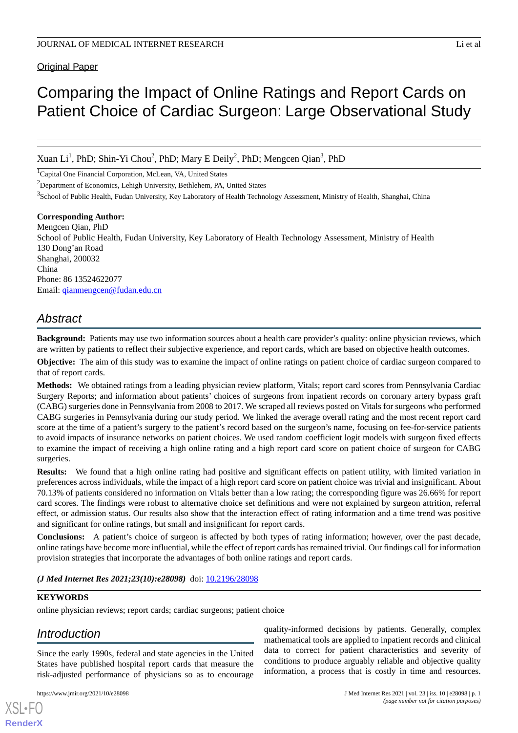## Original Paper

Xuan Li<sup>1</sup>, PhD; Shin-Yi Chou<sup>2</sup>, PhD; Mary E Deily<sup>2</sup>, PhD; Mengcen Qian<sup>3</sup>, PhD

<sup>1</sup>Capital One Financial Corporation, McLean, VA, United States

<sup>2</sup>Department of Economics, Lehigh University, Bethlehem, PA, United States

<sup>3</sup>School of Public Health, Fudan University, Key Laboratory of Health Technology Assessment, Ministry of Health, Shanghai, China

# **Corresponding Author:**

Mengcen Qian, PhD School of Public Health, Fudan University, Key Laboratory of Health Technology Assessment, Ministry of Health 130 Dong'an Road Shanghai, 200032 China Phone: 86 13524622077 Email: [qianmengcen@fudan.edu.cn](mailto:qianmengcen@fudan.edu.cn)

# *Abstract*

**Background:** Patients may use two information sources about a health care provider's quality: online physician reviews, which are written by patients to reflect their subjective experience, and report cards, which are based on objective health outcomes.

**Objective:** The aim of this study was to examine the impact of online ratings on patient choice of cardiac surgeon compared to that of report cards.

**Methods:** We obtained ratings from a leading physician review platform, Vitals; report card scores from Pennsylvania Cardiac Surgery Reports; and information about patients' choices of surgeons from inpatient records on coronary artery bypass graft (CABG) surgeries done in Pennsylvania from 2008 to 2017. We scraped all reviews posted on Vitals for surgeons who performed CABG surgeries in Pennsylvania during our study period. We linked the average overall rating and the most recent report card score at the time of a patient's surgery to the patient's record based on the surgeon's name, focusing on fee-for-service patients to avoid impacts of insurance networks on patient choices. We used random coefficient logit models with surgeon fixed effects to examine the impact of receiving a high online rating and a high report card score on patient choice of surgeon for CABG surgeries.

**Results:** We found that a high online rating had positive and significant effects on patient utility, with limited variation in preferences across individuals, while the impact of a high report card score on patient choice was trivial and insignificant. About 70.13% of patients considered no information on Vitals better than a low rating; the corresponding figure was 26.66% for report card scores. The findings were robust to alternative choice set definitions and were not explained by surgeon attrition, referral effect, or admission status. Our results also show that the interaction effect of rating information and a time trend was positive and significant for online ratings, but small and insignificant for report cards.

**Conclusions:** A patient's choice of surgeon is affected by both types of rating information; however, over the past decade, online ratings have become more influential, while the effect of report cards has remained trivial. Our findings call for information provision strategies that incorporate the advantages of both online ratings and report cards.

*(J Med Internet Res 2021;23(10):e28098)* doi: [10.2196/28098](http://dx.doi.org/10.2196/28098)

### **KEYWORDS**

online physician reviews; report cards; cardiac surgeons; patient choice

# *Introduction*

[XSL](http://www.w3.org/Style/XSL)•FO **[RenderX](http://www.renderx.com/)**

Since the early 1990s, federal and state agencies in the United States have published hospital report cards that measure the risk-adjusted performance of physicians so as to encourage

quality-informed decisions by patients. Generally, complex mathematical tools are applied to inpatient records and clinical data to correct for patient characteristics and severity of conditions to produce arguably reliable and objective quality information, a process that is costly in time and resources.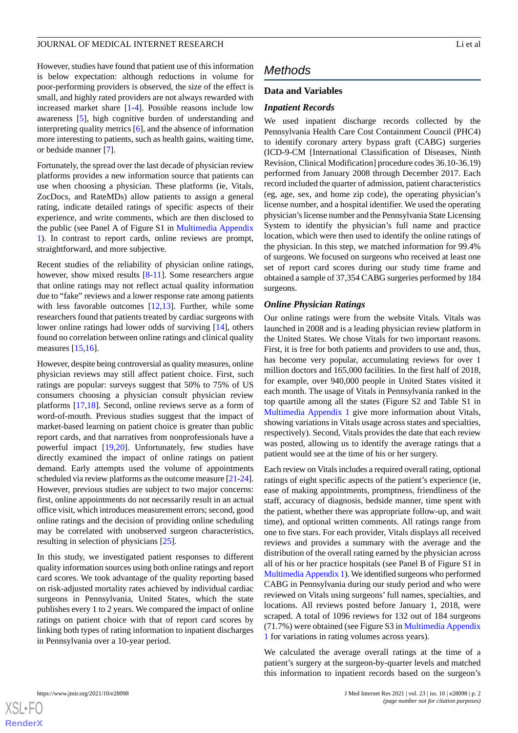However, studies have found that patient use of this information is below expectation: although reductions in volume for poor-performing providers is observed, the size of the effect is small, and highly rated providers are not always rewarded with increased market share [\[1](#page-8-0)-[4\]](#page-8-1). Possible reasons include low awareness [\[5](#page-8-2)], high cognitive burden of understanding and interpreting quality metrics [\[6](#page-8-3)], and the absence of information more interesting to patients, such as health gains, waiting time, or bedside manner [\[7](#page-8-4)].

Fortunately, the spread over the last decade of physician review platforms provides a new information source that patients can use when choosing a physician. These platforms (ie, Vitals, ZocDocs, and RateMDs) allow patients to assign a general rating, indicate detailed ratings of specific aspects of their experience, and write comments, which are then disclosed to the public (see Panel A of Figure S1 in [Multimedia Appendix](#page-7-0) [1\)](#page-7-0). In contrast to report cards, online reviews are prompt, straightforward, and more subjective.

Recent studies of the reliability of physician online ratings, however, show mixed results [\[8](#page-8-5)-[11\]](#page-8-6). Some researchers argue that online ratings may not reflect actual quality information due to "fake" reviews and a lower response rate among patients with less favorable outcomes [[12](#page-8-7)[,13](#page-8-8)]. Further, while some researchers found that patients treated by cardiac surgeons with lower online ratings had lower odds of surviving [\[14](#page-8-9)], others found no correlation between online ratings and clinical quality measures [[15,](#page-8-10)[16](#page-8-11)].

However, despite being controversial as quality measures, online physician reviews may still affect patient choice. First, such ratings are popular: surveys suggest that 50% to 75% of US consumers choosing a physician consult physician review platforms [[17,](#page-8-12)[18](#page-8-13)]. Second, online reviews serve as a form of word-of-mouth. Previous studies suggest that the impact of market-based learning on patient choice is greater than public report cards, and that narratives from nonprofessionals have a powerful impact [[19,](#page-8-14)[20](#page-8-15)]. Unfortunately, few studies have directly examined the impact of online ratings on patient demand. Early attempts used the volume of appointments scheduled via review platforms as the outcome measure [\[21-](#page-8-16)[24\]](#page-8-17). However, previous studies are subject to two major concerns: first, online appointments do not necessarily result in an actual office visit, which introduces measurement errors; second, good online ratings and the decision of providing online scheduling may be correlated with unobserved surgeon characteristics, resulting in selection of physicians [\[25](#page-8-18)].

In this study, we investigated patient responses to different quality information sources using both online ratings and report card scores. We took advantage of the quality reporting based on risk-adjusted mortality rates achieved by individual cardiac surgeons in Pennsylvania, United States, which the state publishes every 1 to 2 years. We compared the impact of online ratings on patient choice with that of report card scores by linking both types of rating information to inpatient discharges in Pennsylvania over a 10-year period.

# *Methods*

#### **Data and Variables**

#### *Inpatient Records*

We used inpatient discharge records collected by the Pennsylvania Health Care Cost Containment Council (PHC4) to identify coronary artery bypass graft (CABG) surgeries (ICD-9-CM [International Classification of Diseases, Ninth Revision, Clinical Modification] procedure codes 36.10-36.19) performed from January 2008 through December 2017. Each record included the quarter of admission, patient characteristics (eg, age, sex, and home zip code), the operating physician's license number, and a hospital identifier. We used the operating physician's license number and the Pennsylvania State Licensing System to identify the physician's full name and practice location, which were then used to identify the online ratings of the physician. In this step, we matched information for 99.4% of surgeons. We focused on surgeons who received at least one set of report card scores during our study time frame and obtained a sample of 37,354 CABG surgeries performed by 184 surgeons.

#### *Online Physician Ratings*

Our online ratings were from the website Vitals. Vitals was launched in 2008 and is a leading physician review platform in the United States. We chose Vitals for two important reasons. First, it is free for both patients and providers to use and, thus, has become very popular, accumulating reviews for over 1 million doctors and 165,000 facilities. In the first half of 2018, for example, over 940,000 people in United States visited it each month. The usage of Vitals in Pennsylvania ranked in the top quartile among all the states (Figure S2 and Table S1 in [Multimedia Appendix 1](#page-7-0) give more information about Vitals, showing variations in Vitals usage across states and specialties, respectively). Second, Vitals provides the date that each review was posted, allowing us to identify the average ratings that a patient would see at the time of his or her surgery.

Each review on Vitals includes a required overall rating, optional ratings of eight specific aspects of the patient's experience (ie, ease of making appointments, promptness, friendliness of the staff, accuracy of diagnosis, bedside manner, time spent with the patient, whether there was appropriate follow-up, and wait time), and optional written comments. All ratings range from one to five stars. For each provider, Vitals displays all received reviews and provides a summary with the average and the distribution of the overall rating earned by the physician across all of his or her practice hospitals (see Panel B of Figure S1 in [Multimedia Appendix 1](#page-7-0)). We identified surgeons who performed CABG in Pennsylvania during our study period and who were reviewed on Vitals using surgeons' full names, specialties, and locations. All reviews posted before January 1, 2018, were scraped. A total of 1096 reviews for 132 out of 184 surgeons (71.7%) were obtained (see Figure S3 in [Multimedia Appendix](#page-7-0) [1](#page-7-0) for variations in rating volumes across years).

We calculated the average overall ratings at the time of a patient's surgery at the surgeon-by-quarter levels and matched this information to inpatient records based on the surgeon's

 $XS$  $\cdot$ FC **[RenderX](http://www.renderx.com/)**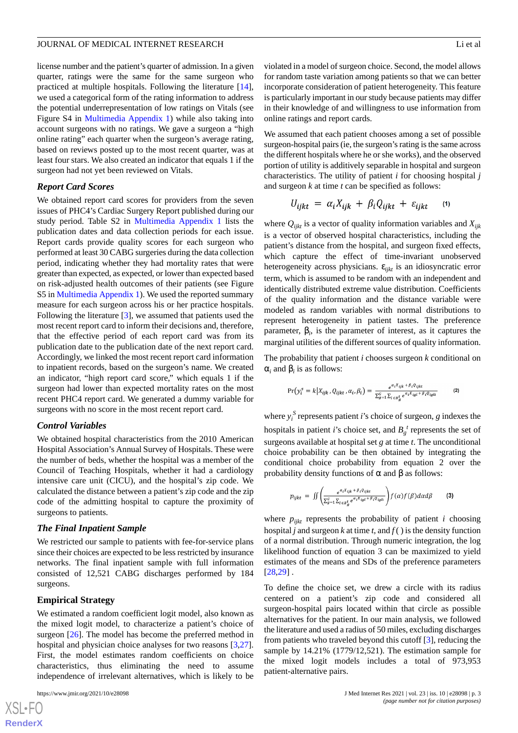license number and the patient's quarter of admission. In a given quarter, ratings were the same for the same surgeon who practiced at multiple hospitals. Following the literature [[14\]](#page-8-9), we used a categorical form of the rating information to address the potential underrepresentation of low ratings on Vitals (see Figure S4 in [Multimedia Appendix 1\)](#page-7-0) while also taking into account surgeons with no ratings. We gave a surgeon a "high online rating" each quarter when the surgeon's average rating, based on reviews posted up to the most recent quarter, was at least four stars. We also created an indicator that equals 1 if the surgeon had not yet been reviewed on Vitals.

#### *Report Card Scores*

We obtained report card scores for providers from the seven issues of PHC4's Cardiac Surgery Report published during our study period. Table S2 in [Multimedia Appendix 1](#page-7-0) lists the publication dates and data collection periods for each issue. Report cards provide quality scores for each surgeon who performed at least 30 CABG surgeries during the data collection period, indicating whether they had mortality rates that were greater than expected, as expected, or lower than expected based on risk-adjusted health outcomes of their patients (see Figure S5 in [Multimedia Appendix 1\)](#page-7-0). We used the reported summary measure for each surgeon across his or her practice hospitals. Following the literature [[3\]](#page-8-19), we assumed that patients used the most recent report card to inform their decisions and, therefore, that the effective period of each report card was from its publication date to the publication date of the next report card. Accordingly, we linked the most recent report card information to inpatient records, based on the surgeon's name. We created an indicator, "high report card score," which equals 1 if the surgeon had lower than expected mortality rates on the most recent PHC4 report card. We generated a dummy variable for surgeons with no score in the most recent report card.

#### *Control Variables*

We obtained hospital characteristics from the 2010 American Hospital Association's Annual Survey of Hospitals. These were the number of beds, whether the hospital was a member of the Council of Teaching Hospitals, whether it had a cardiology intensive care unit (CICU), and the hospital's zip code. We calculated the distance between a patient's zip code and the zip code of the admitting hospital to capture the proximity of surgeons to patients.

#### *The Final Inpatient Sample*

We restricted our sample to patients with fee-for-service plans since their choices are expected to be less restricted by insurance networks. The final inpatient sample with full information consisted of 12,521 CABG discharges performed by 184 surgeons.

#### **Empirical Strategy**

We estimated a random coefficient logit model, also known as the mixed logit model, to characterize a patient's choice of surgeon [\[26](#page-9-0)]. The model has become the preferred method in hospital and physician choice analyses for two reasons [\[3](#page-8-19),[27\]](#page-9-1). First, the model estimates random coefficients on choice characteristics, thus eliminating the need to assume independence of irrelevant alternatives, which is likely to be

 $XS$  $\cdot$ FC **[RenderX](http://www.renderx.com/)** violated in a model of surgeon choice. Second, the model allows for random taste variation among patients so that we can better incorporate consideration of patient heterogeneity. This feature is particularly important in our study because patients may differ in their knowledge of and willingness to use information from online ratings and report cards.

We assumed that each patient chooses among a set of possible surgeon-hospital pairs (ie, the surgeon's rating is the same across the different hospitals where he or she works), and the observed portion of utility is additively separable in hospital and surgeon characteristics. The utility of patient *i* for choosing hospital *j* and surgeon *k* at time *t* can be specified as follows:

$$
U_{ijkt} = \alpha_i X_{ijk} + \beta_i Q_{ijkt} + \varepsilon_{ijkt} \quad (1)
$$

 $\mathbb{R}^2$ 

where  $Q_{iik}$  is a vector of quality information variables and  $X_{iik}$ is a vector of observed hospital characteristics, including the patient's distance from the hospital, and surgeon fixed effects, which capture the effect of time-invariant unobserved heterogeneity across physicians. ε*ijkt* is an idiosyncratic error term, which is assumed to be random with an independent and identically distributed extreme value distribution. Coefficients of the quality information and the distance variable were modeled as random variables with normal distributions to represent heterogeneity in patient tastes. The preference parameter, β*<sup>i</sup>* , is the parameter of interest, as it captures the marginal utilities of the different sources of quality information.

The probability that patient *i* chooses surgeon *k* conditional on  $\alpha_i$  and  $\beta_i$  is as follows:

$$
\Pr(y_i^s = k | X_{ijk}, Q_{ijkt}, \alpha_i, \beta_i) = \frac{e^{\alpha_i X_{ijk} + \beta_i Q_{ijkt}}}{\sum_{g=1}^G \sum_{l \in B_g^t} e^{\alpha_i X_{igl} + \beta_i Q_{ijkt}}} \tag{2}
$$

where  $y_i^S$  represents patient *i*'s choice of surgeon, *g* indexes the hospitals in patient *i*'s choice set, and  $B_g^t$  represents the set of surgeons available at hospital set *g* at time *t*. The unconditional choice probability can be then obtained by integrating the conditional choice probability from equation 2 over the probability density functions of  $\alpha$  and  $\beta$  as follows:

$$
p_{ijkt} = \iint \left( \frac{e^{\alpha_i X_{ijk} + \beta_i Q_{ijkt}}}{\sum_{g=1}^G \sum_{l \in B_g^t} e^{\alpha_i X_{igl} + \beta_i Q_{ijkt}}} \right) f(\alpha) f(\beta) d\alpha d\beta \tag{3}
$$

where  $p_{iikt}$  represents the probability of patient *i* choosing hospital *j* and surgeon *k* at time *t*, and  $f()$  is the density function of a normal distribution. Through numeric integration, the log likelihood function of equation 3 can be maximized to yield estimates of the means and SDs of the preference parameters [[28,](#page-9-2)[29\]](#page-9-3) .

To define the choice set, we drew a circle with its radius centered on a patient's zip code and considered all surgeon-hospital pairs located within that circle as possible alternatives for the patient. In our main analysis, we followed the literature and used a radius of 50 miles, excluding discharges from patients who traveled beyond this cutoff [\[3](#page-8-19)], reducing the sample by 14.21% (1779/12,521). The estimation sample for the mixed logit models includes a total of 973,953 patient-alternative pairs.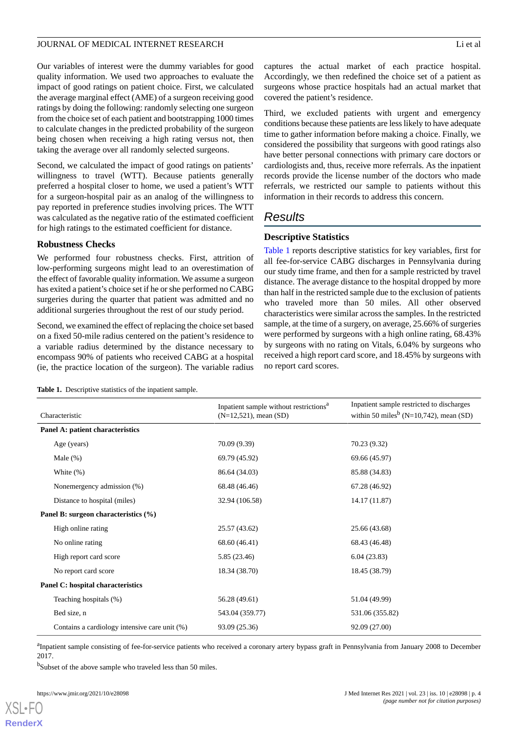Our variables of interest were the dummy variables for good quality information. We used two approaches to evaluate the impact of good ratings on patient choice. First, we calculated the average marginal effect (AME) of a surgeon receiving good ratings by doing the following: randomly selecting one surgeon from the choice set of each patient and bootstrapping 1000 times to calculate changes in the predicted probability of the surgeon being chosen when receiving a high rating versus not, then taking the average over all randomly selected surgeons.

Second, we calculated the impact of good ratings on patients' willingness to travel (WTT). Because patients generally preferred a hospital closer to home, we used a patient's WTT for a surgeon-hospital pair as an analog of the willingness to pay reported in preference studies involving prices. The WTT was calculated as the negative ratio of the estimated coefficient for high ratings to the estimated coefficient for distance.

#### **Robustness Checks**

We performed four robustness checks. First, attrition of low-performing surgeons might lead to an overestimation of the effect of favorable quality information. We assume a surgeon has exited a patient's choice set if he or she performed no CABG surgeries during the quarter that patient was admitted and no additional surgeries throughout the rest of our study period.

<span id="page-3-0"></span>Second, we examined the effect of replacing the choice set based on a fixed 50-mile radius centered on the patient's residence to a variable radius determined by the distance necessary to encompass 90% of patients who received CABG at a hospital (ie, the practice location of the surgeon). The variable radius

captures the actual market of each practice hospital. Accordingly, we then redefined the choice set of a patient as surgeons whose practice hospitals had an actual market that covered the patient's residence.

Third, we excluded patients with urgent and emergency conditions because these patients are less likely to have adequate time to gather information before making a choice. Finally, we considered the possibility that surgeons with good ratings also have better personal connections with primary care doctors or cardiologists and, thus, receive more referrals. As the inpatient records provide the license number of the doctors who made referrals, we restricted our sample to patients without this information in their records to address this concern.

## *Results*

#### **Descriptive Statistics**

[Table 1](#page-3-0) reports descriptive statistics for key variables, first for all fee-for-service CABG discharges in Pennsylvania during our study time frame, and then for a sample restricted by travel distance. The average distance to the hospital dropped by more than half in the restricted sample due to the exclusion of patients who traveled more than 50 miles. All other observed characteristics were similar across the samples. In the restricted sample, at the time of a surgery, on average, 25.66% of surgeries were performed by surgeons with a high online rating, 68.43% by surgeons with no rating on Vitals, 6.04% by surgeons who received a high report card score, and 18.45% by surgeons with no report card scores.

**Table 1.** Descriptive statistics of the inpatient sample.

| Characteristic                                | Inpatient sample without restrictions <sup>a</sup><br>$(N=12, 521)$ , mean $(SD)$ | Inpatient sample restricted to discharges<br>within 50 miles <sup>b</sup> (N=10,742), mean (SD) |
|-----------------------------------------------|-----------------------------------------------------------------------------------|-------------------------------------------------------------------------------------------------|
| Panel A: patient characteristics              |                                                                                   |                                                                                                 |
| Age (years)                                   | 70.09 (9.39)                                                                      | 70.23 (9.32)                                                                                    |
| Male $(\%)$                                   | 69.79 (45.92)                                                                     | 69.66 (45.97)                                                                                   |
| White $(\%)$                                  | 86.64 (34.03)                                                                     | 85.88 (34.83)                                                                                   |
| Nonemergency admission (%)                    | 68.48 (46.46)                                                                     | 67.28 (46.92)                                                                                   |
| Distance to hospital (miles)                  | 32.94 (106.58)                                                                    | 14.17 (11.87)                                                                                   |
| Panel B: surgeon characteristics (%)          |                                                                                   |                                                                                                 |
| High online rating                            | 25.57 (43.62)                                                                     | 25.66 (43.68)                                                                                   |
| No online rating                              | 68.60 (46.41)                                                                     | 68.43 (46.48)                                                                                   |
| High report card score                        | 5.85 (23.46)                                                                      | 6.04(23.83)                                                                                     |
| No report card score                          | 18.34 (38.70)                                                                     | 18.45 (38.79)                                                                                   |
| Panel C: hospital characteristics             |                                                                                   |                                                                                                 |
| Teaching hospitals (%)                        | 56.28 (49.61)                                                                     | 51.04 (49.99)                                                                                   |
| Bed size, n                                   | 543.04 (359.77)                                                                   | 531.06 (355.82)                                                                                 |
| Contains a cardiology intensive care unit (%) | 93.09 (25.36)                                                                     | 92.09 (27.00)                                                                                   |

<sup>a</sup>Inpatient sample consisting of fee-for-service patients who received a coronary artery bypass graft in Pennsylvania from January 2008 to December 2017.

<sup>b</sup>Subset of the above sample who traveled less than 50 miles.

[XSL](http://www.w3.org/Style/XSL)•FO **[RenderX](http://www.renderx.com/)**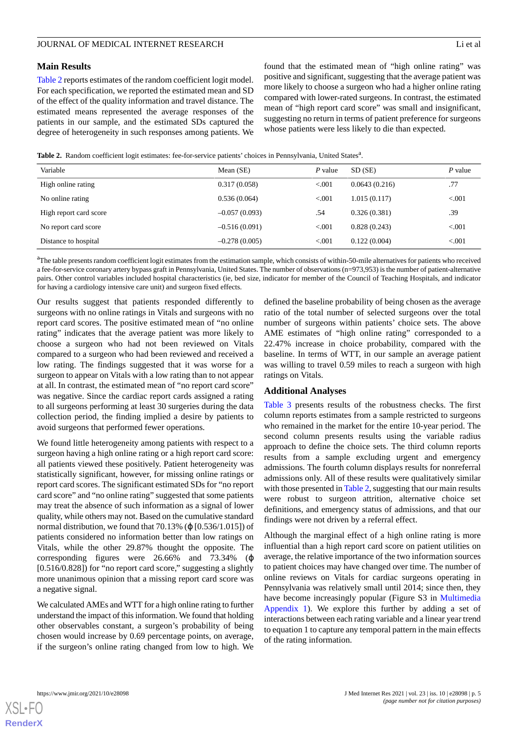[Table 2](#page-4-0) reports estimates of the random coefficient logit model. For each specification, we reported the estimated mean and SD of the effect of the quality information and travel distance. The estimated means represented the average responses of the patients in our sample, and the estimated SDs captured the degree of heterogeneity in such responses among patients. We found that the estimated mean of "high online rating" was positive and significant, suggesting that the average patient was more likely to choose a surgeon who had a higher online rating compared with lower-rated surgeons. In contrast, the estimated mean of "high report card score" was small and insignificant, suggesting no return in terms of patient preference for surgeons whose patients were less likely to die than expected.

<span id="page-4-0"></span>Table 2. Random coefficient logit estimates: fee-for-service patients' choices in Pennsylvania, United States<sup>a</sup>.

| Variable               | Mean $(SE)$     | $P$ value | SD (SE)       | P value |
|------------------------|-----------------|-----------|---------------|---------|
| High online rating     | 0.317(0.058)    | < 0.001   | 0.0643(0.216) | .77     |
| No online rating       | 0.536(0.064)    | < 0.001   | 1.015(0.117)  | < 0.001 |
| High report card score | $-0.057(0.093)$ | .54       | 0.326(0.381)  | .39     |
| No report card score   | $-0.516(0.091)$ | < 0.001   | 0.828(0.243)  | < 0.001 |
| Distance to hospital   | $-0.278(0.005)$ | < 0.001   | 0.122(0.004)  | < 0.001 |

<sup>a</sup>The table presents random coefficient logit estimates from the estimation sample, which consists of within-50-mile alternatives for patients who received a fee-for-service coronary artery bypass graft in Pennsylvania, United States. The number of observations (n=973,953) is the number of patient-alternative pairs. Other control variables included hospital characteristics (ie, bed size, indicator for member of the Council of Teaching Hospitals, and indicator for having a cardiology intensive care unit) and surgeon fixed effects.

Our results suggest that patients responded differently to surgeons with no online ratings in Vitals and surgeons with no report card scores. The positive estimated mean of "no online rating" indicates that the average patient was more likely to choose a surgeon who had not been reviewed on Vitals compared to a surgeon who had been reviewed and received a low rating. The findings suggested that it was worse for a surgeon to appear on Vitals with a low rating than to not appear at all. In contrast, the estimated mean of "no report card score" was negative. Since the cardiac report cards assigned a rating to all surgeons performing at least 30 surgeries during the data collection period, the finding implied a desire by patients to avoid surgeons that performed fewer operations.

We found little heterogeneity among patients with respect to a surgeon having a high online rating or a high report card score: all patients viewed these positively. Patient heterogeneity was statistically significant, however, for missing online ratings or report card scores. The significant estimated SDs for "no report card score" and "no online rating" suggested that some patients may treat the absence of such information as a signal of lower quality, while others may not. Based on the cumulative standard normal distribution, we found that  $70.13\%$  ( $\varphi$  [0.536/1.015]) of patients considered no information better than low ratings on Vitals, while the other 29.87% thought the opposite. The corresponding figures were 26.66% and 73.34% (ϕ [0.516/0.828]) for "no report card score," suggesting a slightly more unanimous opinion that a missing report card score was a negative signal.

We calculated AMEs and WTT for a high online rating to further understand the impact of this information. We found that holding other observables constant, a surgeon's probability of being chosen would increase by 0.69 percentage points, on average, if the surgeon's online rating changed from low to high. We

defined the baseline probability of being chosen as the average ratio of the total number of selected surgeons over the total number of surgeons within patients' choice sets. The above AME estimates of "high online rating" corresponded to a 22.47% increase in choice probability, compared with the baseline. In terms of WTT, in our sample an average patient was willing to travel 0.59 miles to reach a surgeon with high ratings on Vitals.

#### **Additional Analyses**

[Table 3](#page-5-0) presents results of the robustness checks. The first column reports estimates from a sample restricted to surgeons who remained in the market for the entire 10-year period. The second column presents results using the variable radius approach to define the choice sets. The third column reports results from a sample excluding urgent and emergency admissions. The fourth column displays results for nonreferral admissions only. All of these results were qualitatively similar with those presented in [Table 2](#page-4-0), suggesting that our main results were robust to surgeon attrition, alternative choice set definitions, and emergency status of admissions, and that our findings were not driven by a referral effect.

Although the marginal effect of a high online rating is more influential than a high report card score on patient utilities on average, the relative importance of the two information sources to patient choices may have changed over time. The number of online reviews on Vitals for cardiac surgeons operating in Pennsylvania was relatively small until 2014; since then, they have become increasingly popular (Figure S3 in [Multimedia](#page-7-0) [Appendix 1](#page-7-0)). We explore this further by adding a set of interactions between each rating variable and a linear year trend to equation 1 to capture any temporal pattern in the main effects of the rating information.

 $XS$  $\cdot$ FC **[RenderX](http://www.renderx.com/)**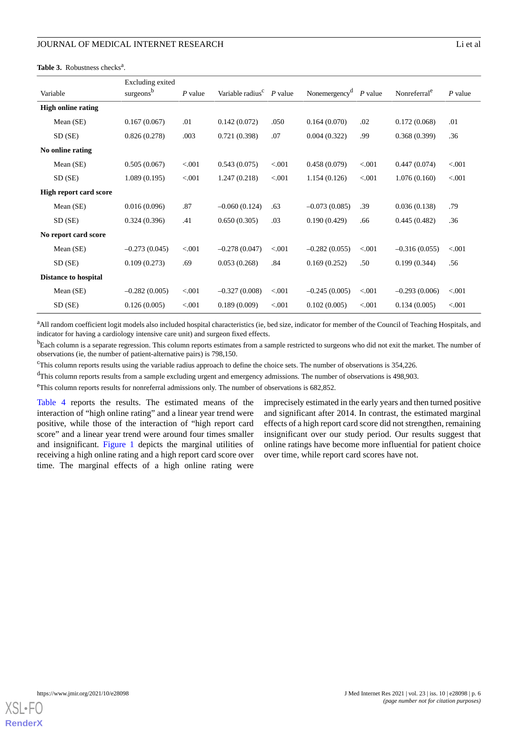#### <span id="page-5-0"></span>Table 3. Robustness checks<sup>a</sup>.

|                               | Excluding exited      |           |                                        |         |                                     |         |                          |           |
|-------------------------------|-----------------------|-----------|----------------------------------------|---------|-------------------------------------|---------|--------------------------|-----------|
| Variable                      | surgeons <sup>b</sup> | $P$ value | Variable radius <sup>c</sup> $P$ value |         | Nonemergency <sup>d</sup> $P$ value |         | Nonreferral <sup>e</sup> | $P$ value |
| <b>High online rating</b>     |                       |           |                                        |         |                                     |         |                          |           |
| Mean (SE)                     | 0.167(0.067)          | .01       | 0.142(0.072)                           | .050    | 0.164(0.070)                        | .02     | 0.172(0.068)             | .01       |
| SD(SE)                        | 0.826(0.278)          | .003      | 0.721(0.398)                           | .07     | 0.004(0.322)                        | .99     | 0.368(0.399)             | .36       |
| No online rating              |                       |           |                                        |         |                                     |         |                          |           |
| Mean (SE)                     | 0.505(0.067)          | < 0.001   | 0.543(0.075)                           | < 0.001 | 0.458(0.079)                        | < 0.001 | 0.447(0.074)             | < 0.001   |
| SD(SE)                        | 1.089(0.195)          | < 0.001   | 1.247(0.218)                           | < .001  | 1.154(0.126)                        | < 0.001 | 1.076(0.160)             | < 0.001   |
| <b>High report card score</b> |                       |           |                                        |         |                                     |         |                          |           |
| Mean (SE)                     | 0.016(0.096)          | .87       | $-0.060(0.124)$                        | .63     | $-0.073(0.085)$                     | .39     | 0.036(0.138)             | .79       |
| SD(SE)                        | 0.324(0.396)          | .41       | 0.650(0.305)                           | .03     | 0.190(0.429)                        | .66     | 0.445(0.482)             | .36       |
| No report card score          |                       |           |                                        |         |                                     |         |                          |           |
| Mean (SE)                     | $-0.273(0.045)$       | < 0.001   | $-0.278(0.047)$                        | < 0.001 | $-0.282(0.055)$                     | < 0.001 | $-0.316(0.055)$          | < 0.001   |
| SD(SE)                        | 0.109(0.273)          | .69       | 0.053(0.268)                           | .84     | 0.169(0.252)                        | .50     | 0.199(0.344)             | .56       |
| <b>Distance to hospital</b>   |                       |           |                                        |         |                                     |         |                          |           |
| Mean (SE)                     | $-0.282(0.005)$       | < 0.001   | $-0.327(0.008)$                        | < 0.001 | $-0.245(0.005)$                     | < 0.001 | $-0.293(0.006)$          | < 0.001   |
| SD (SE)                       | 0.126(0.005)          | < 0.001   | 0.189(0.009)                           | < .001  | 0.102(0.005)                        | < 0.001 | 0.134(0.005)             | < 0.001   |

<sup>a</sup>All random coefficient logit models also included hospital characteristics (ie, bed size, indicator for member of the Council of Teaching Hospitals, and indicator for having a cardiology intensive care unit) and surgeon fixed effects.

<sup>b</sup>Each column is a separate regression. This column reports estimates from a sample restricted to surgeons who did not exit the market. The number of observations (ie, the number of patient-alternative pairs) is 798,150.

<sup>c</sup>This column reports results using the variable radius approach to define the choice sets. The number of observations is 354,226.

<sup>d</sup>This column reports results from a sample excluding urgent and emergency admissions. The number of observations is 498,903.

<sup>e</sup>This column reports results for nonreferral admissions only. The number of observations is 682,852.

[Table 4](#page-6-0) reports the results. The estimated means of the interaction of "high online rating" and a linear year trend were positive, while those of the interaction of "high report card score" and a linear year trend were around four times smaller and insignificant. [Figure 1](#page-6-1) depicts the marginal utilities of receiving a high online rating and a high report card score over time. The marginal effects of a high online rating were

imprecisely estimated in the early years and then turned positive and significant after 2014. In contrast, the estimated marginal effects of a high report card score did not strengthen, remaining insignificant over our study period. Our results suggest that online ratings have become more influential for patient choice over time, while report card scores have not.

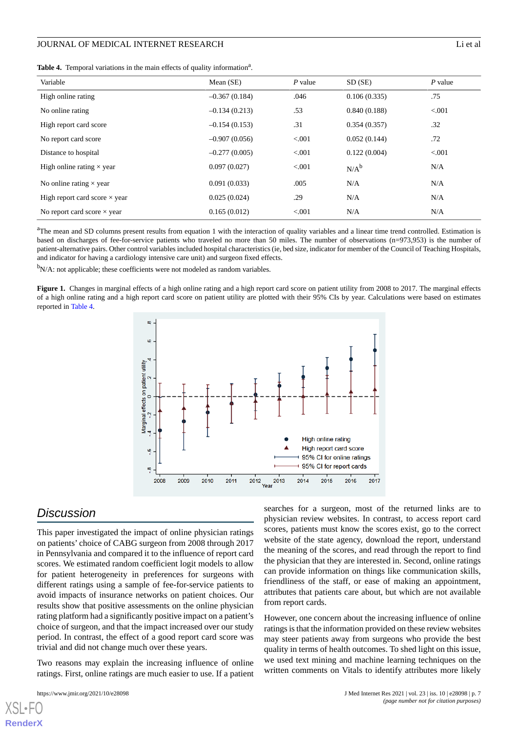<span id="page-6-0"></span>

|  |  | Table 4. Temporal variations in the main effects of quality information <sup>a</sup> . |  |  |  |  |  |  |  |  |
|--|--|----------------------------------------------------------------------------------------|--|--|--|--|--|--|--|--|
|--|--|----------------------------------------------------------------------------------------|--|--|--|--|--|--|--|--|

| Variable                             | Mean $(SE)$     | $P$ value | SD(SE)       | $P$ value |
|--------------------------------------|-----------------|-----------|--------------|-----------|
| High online rating                   | $-0.367(0.184)$ | .046      | 0.106(0.335) | .75       |
| No online rating                     | $-0.134(0.213)$ | .53       | 0.840(0.188) | < 0.001   |
| High report card score               | $-0.154(0.153)$ | .31       | 0.354(0.357) | .32       |
| No report card score                 | $-0.907(0.056)$ | < 0.001   | 0.052(0.144) | .72       |
| Distance to hospital                 | $-0.277(0.005)$ | < 0.001   | 0.122(0.004) | < 0.001   |
| High online rating $\times$ year     | 0.097(0.027)    | < 0.001   | $N/A^b$      | N/A       |
| No online rating $\times$ year       | 0.091(0.033)    | .005      | N/A          | N/A       |
| High report card score $\times$ year | 0.025(0.024)    | .29       | N/A          | N/A       |
| No report card score $\times$ year   | 0.165(0.012)    | < 0.001   | N/A          | N/A       |

<sup>a</sup>The mean and SD columns present results from equation 1 with the interaction of quality variables and a linear time trend controlled. Estimation is based on discharges of fee-for-service patients who traveled no more than 50 miles. The number of observations (n=973,953) is the number of patient-alternative pairs. Other control variables included hospital characteristics (ie, bed size, indicator for member of the Council of Teaching Hospitals, and indicator for having a cardiology intensive care unit) and surgeon fixed effects.

<span id="page-6-1"></span> $b_{N/A}$ : not applicable; these coefficients were not modeled as random variables.

Figure 1. Changes in marginal effects of a high online rating and a high report card score on patient utility from 2008 to 2017. The marginal effects of a high online rating and a high report card score on patient utility are plotted with their 95% CIs by year. Calculations were based on estimates reported in [Table 4.](#page-6-0)



# *Discussion*

This paper investigated the impact of online physician ratings on patients' choice of CABG surgeon from 2008 through 2017 in Pennsylvania and compared it to the influence of report card scores. We estimated random coefficient logit models to allow for patient heterogeneity in preferences for surgeons with different ratings using a sample of fee-for-service patients to avoid impacts of insurance networks on patient choices. Our results show that positive assessments on the online physician rating platform had a significantly positive impact on a patient's choice of surgeon, and that the impact increased over our study period. In contrast, the effect of a good report card score was trivial and did not change much over these years.

Two reasons may explain the increasing influence of online ratings. First, online ratings are much easier to use. If a patient

[XSL](http://www.w3.org/Style/XSL)•FO **[RenderX](http://www.renderx.com/)**

searches for a surgeon, most of the returned links are to physician review websites. In contrast, to access report card scores, patients must know the scores exist, go to the correct website of the state agency, download the report, understand the meaning of the scores, and read through the report to find the physician that they are interested in. Second, online ratings can provide information on things like communication skills, friendliness of the staff, or ease of making an appointment, attributes that patients care about, but which are not available from report cards.

However, one concern about the increasing influence of online ratings is that the information provided on these review websites may steer patients away from surgeons who provide the best quality in terms of health outcomes. To shed light on this issue, we used text mining and machine learning techniques on the written comments on Vitals to identify attributes more likely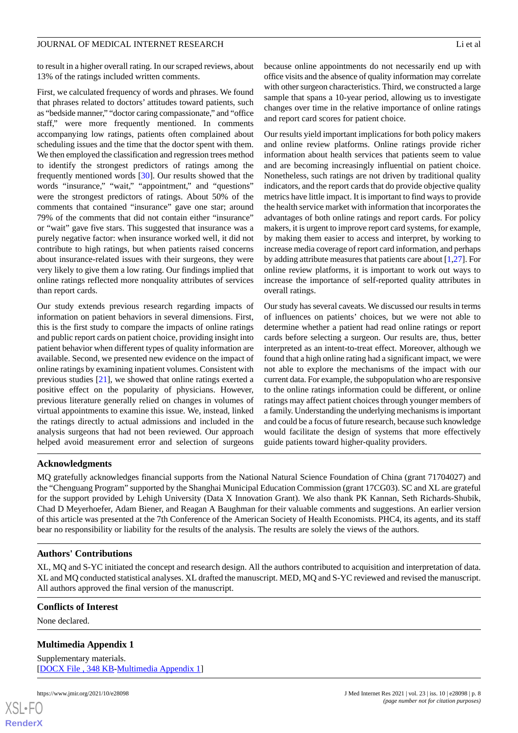to result in a higher overall rating. In our scraped reviews, about 13% of the ratings included written comments.

First, we calculated frequency of words and phrases. We found that phrases related to doctors' attitudes toward patients, such as "bedside manner," "doctor caring compassionate," and "office staff," were more frequently mentioned. In comments accompanying low ratings, patients often complained about scheduling issues and the time that the doctor spent with them. We then employed the classification and regression trees method to identify the strongest predictors of ratings among the frequently mentioned words [\[30](#page-9-4)]. Our results showed that the words "insurance," "wait," "appointment," and "questions" were the strongest predictors of ratings. About 50% of the comments that contained "insurance" gave one star; around 79% of the comments that did not contain either "insurance" or "wait" gave five stars. This suggested that insurance was a purely negative factor: when insurance worked well, it did not contribute to high ratings, but when patients raised concerns about insurance-related issues with their surgeons, they were very likely to give them a low rating. Our findings implied that online ratings reflected more nonquality attributes of services than report cards.

Our study extends previous research regarding impacts of information on patient behaviors in several dimensions. First, this is the first study to compare the impacts of online ratings and public report cards on patient choice, providing insight into patient behavior when different types of quality information are available. Second, we presented new evidence on the impact of online ratings by examining inpatient volumes. Consistent with previous studies [\[21](#page-8-16)], we showed that online ratings exerted a positive effect on the popularity of physicians. However, previous literature generally relied on changes in volumes of virtual appointments to examine this issue. We, instead, linked the ratings directly to actual admissions and included in the analysis surgeons that had not been reviewed. Our approach helped avoid measurement error and selection of surgeons

because online appointments do not necessarily end up with office visits and the absence of quality information may correlate with other surgeon characteristics. Third, we constructed a large sample that spans a 10-year period, allowing us to investigate changes over time in the relative importance of online ratings and report card scores for patient choice.

Our results yield important implications for both policy makers and online review platforms. Online ratings provide richer information about health services that patients seem to value and are becoming increasingly influential on patient choice. Nonetheless, such ratings are not driven by traditional quality indicators, and the report cards that do provide objective quality metrics have little impact. It is important to find ways to provide the health service market with information that incorporates the advantages of both online ratings and report cards. For policy makers, it is urgent to improve report card systems, for example, by making them easier to access and interpret, by working to increase media coverage of report card information, and perhaps by adding attribute measures that patients care about [[1](#page-8-0)[,27](#page-9-1)]. For online review platforms, it is important to work out ways to increase the importance of self-reported quality attributes in overall ratings.

Our study has several caveats. We discussed our results in terms of influences on patients' choices, but we were not able to determine whether a patient had read online ratings or report cards before selecting a surgeon. Our results are, thus, better interpreted as an intent-to-treat effect. Moreover, although we found that a high online rating had a significant impact, we were not able to explore the mechanisms of the impact with our current data. For example, the subpopulation who are responsive to the online ratings information could be different, or online ratings may affect patient choices through younger members of a family. Understanding the underlying mechanisms is important and could be a focus of future research, because such knowledge would facilitate the design of systems that more effectively guide patients toward higher-quality providers.

### **Acknowledgments**

MQ gratefully acknowledges financial supports from the National Natural Science Foundation of China (grant 71704027) and the "Chenguang Program" supported by the Shanghai Municipal Education Commission (grant 17CG03). SC and XL are grateful for the support provided by Lehigh University (Data X Innovation Grant). We also thank PK Kannan, Seth Richards-Shubik, Chad D Meyerhoefer, Adam Biener, and Reagan A Baughman for their valuable comments and suggestions. An earlier version of this article was presented at the 7th Conference of the American Society of Health Economists. PHC4, its agents, and its staff bear no responsibility or liability for the results of the analysis. The results are solely the views of the authors.

### **Authors' Contributions**

<span id="page-7-0"></span>XL, MQ and S-YC initiated the concept and research design. All the authors contributed to acquisition and interpretation of data. XL and MQ conducted statistical analyses. XL drafted the manuscript. MED, MQ and S-YC reviewed and revised the manuscript. All authors approved the final version of the manuscript.

#### **Conflicts of Interest**

None declared.

### **Multimedia Appendix 1**

Supplementary materials. [[DOCX File , 348 KB-Multimedia Appendix 1\]](https://jmir.org/api/download?alt_name=jmir_v23i10e28098_app1.docx&filename=3fe0ecb39e7cab3c9355ebb438e59dbb.docx)

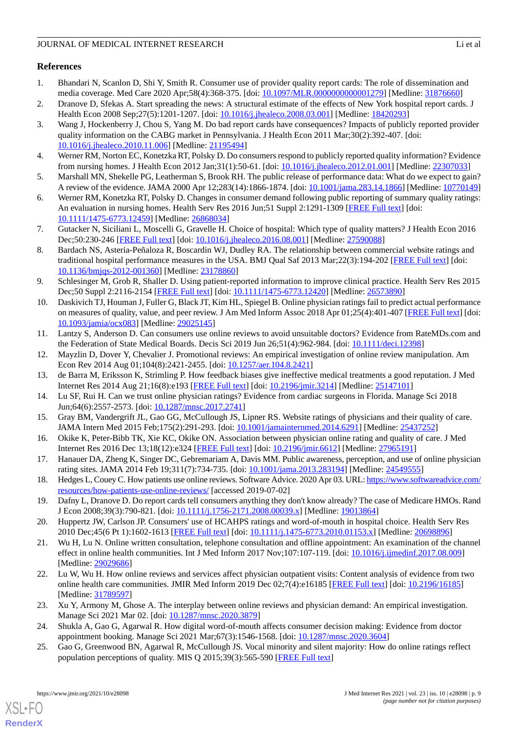# **References**

- <span id="page-8-0"></span>1. Bhandari N, Scanlon D, Shi Y, Smith R. Consumer use of provider quality report cards: The role of dissemination and media coverage. Med Care 2020 Apr;58(4):368-375. [doi: [10.1097/MLR.0000000000001279\]](http://dx.doi.org/10.1097/MLR.0000000000001279) [Medline: [31876660\]](http://www.ncbi.nlm.nih.gov/entrez/query.fcgi?cmd=Retrieve&db=PubMed&list_uids=31876660&dopt=Abstract)
- <span id="page-8-19"></span>2. Dranove D, Sfekas A. Start spreading the news: A structural estimate of the effects of New York hospital report cards. J Health Econ 2008 Sep;27(5):1201-1207. [doi: [10.1016/j.jhealeco.2008.03.001\]](http://dx.doi.org/10.1016/j.jhealeco.2008.03.001) [Medline: [18420293](http://www.ncbi.nlm.nih.gov/entrez/query.fcgi?cmd=Retrieve&db=PubMed&list_uids=18420293&dopt=Abstract)]
- 3. Wang J, Hockenberry J, Chou S, Yang M. Do bad report cards have consequences? Impacts of publicly reported provider quality information on the CABG market in Pennsylvania. J Health Econ 2011 Mar;30(2):392-407. [doi: [10.1016/j.jhealeco.2010.11.006\]](http://dx.doi.org/10.1016/j.jhealeco.2010.11.006) [Medline: [21195494\]](http://www.ncbi.nlm.nih.gov/entrez/query.fcgi?cmd=Retrieve&db=PubMed&list_uids=21195494&dopt=Abstract)
- <span id="page-8-2"></span><span id="page-8-1"></span>4. Werner RM, Norton EC, Konetzka RT, Polsky D. Do consumers respond to publicly reported quality information? Evidence from nursing homes. J Health Econ 2012 Jan;31(1):50-61. [doi: [10.1016/j.jhealeco.2012.01.001\]](http://dx.doi.org/10.1016/j.jhealeco.2012.01.001) [Medline: [22307033\]](http://www.ncbi.nlm.nih.gov/entrez/query.fcgi?cmd=Retrieve&db=PubMed&list_uids=22307033&dopt=Abstract)
- <span id="page-8-3"></span>5. Marshall MN, Shekelle PG, Leatherman S, Brook RH. The public release of performance data: What do we expect to gain? A review of the evidence. JAMA 2000 Apr 12;283(14):1866-1874. [doi: [10.1001/jama.283.14.1866](http://dx.doi.org/10.1001/jama.283.14.1866)] [Medline: [10770149](http://www.ncbi.nlm.nih.gov/entrez/query.fcgi?cmd=Retrieve&db=PubMed&list_uids=10770149&dopt=Abstract)]
- <span id="page-8-4"></span>6. Werner RM, Konetzka RT, Polsky D. Changes in consumer demand following public reporting of summary quality ratings: An evaluation in nursing homes. Health Serv Res 2016 Jun;51 Suppl 2:1291-1309 [[FREE Full text](http://europepmc.org/abstract/MED/26868034)] [doi: [10.1111/1475-6773.12459\]](http://dx.doi.org/10.1111/1475-6773.12459) [Medline: [26868034](http://www.ncbi.nlm.nih.gov/entrez/query.fcgi?cmd=Retrieve&db=PubMed&list_uids=26868034&dopt=Abstract)]
- <span id="page-8-5"></span>7. Gutacker N, Siciliani L, Moscelli G, Gravelle H. Choice of hospital: Which type of quality matters? J Health Econ 2016 Dec;50:230-246 [\[FREE Full text\]](https://linkinghub.elsevier.com/retrieve/pii/S0167-6296(16)30137-0) [doi: [10.1016/j.jhealeco.2016.08.001](http://dx.doi.org/10.1016/j.jhealeco.2016.08.001)] [Medline: [27590088](http://www.ncbi.nlm.nih.gov/entrez/query.fcgi?cmd=Retrieve&db=PubMed&list_uids=27590088&dopt=Abstract)]
- 8. Bardach NS, Asteria-Peñaloza R, Boscardin WJ, Dudley RA. The relationship between commercial website ratings and traditional hospital performance measures in the USA. BMJ Qual Saf 2013 Mar;22(3):194-202 [\[FREE Full text\]](http://europepmc.org/abstract/MED/23178860) [doi: [10.1136/bmjqs-2012-001360\]](http://dx.doi.org/10.1136/bmjqs-2012-001360) [Medline: [23178860\]](http://www.ncbi.nlm.nih.gov/entrez/query.fcgi?cmd=Retrieve&db=PubMed&list_uids=23178860&dopt=Abstract)
- 9. Schlesinger M, Grob R, Shaller D. Using patient-reported information to improve clinical practice. Health Serv Res 2015 Dec;50 Suppl 2:2116-2154 [[FREE Full text](http://europepmc.org/abstract/MED/26573890)] [doi: [10.1111/1475-6773.12420](http://dx.doi.org/10.1111/1475-6773.12420)] [Medline: [26573890](http://www.ncbi.nlm.nih.gov/entrez/query.fcgi?cmd=Retrieve&db=PubMed&list_uids=26573890&dopt=Abstract)]
- <span id="page-8-6"></span>10. Daskivich TJ, Houman J, Fuller G, Black JT, Kim HL, Spiegel B. Online physician ratings fail to predict actual performance on measures of quality, value, and peer review. J Am Med Inform Assoc 2018 Apr 01;25(4):401-407 [[FREE Full text](http://europepmc.org/abstract/MED/29025145)] [doi: [10.1093/jamia/ocx083](http://dx.doi.org/10.1093/jamia/ocx083)] [Medline: [29025145](http://www.ncbi.nlm.nih.gov/entrez/query.fcgi?cmd=Retrieve&db=PubMed&list_uids=29025145&dopt=Abstract)]
- <span id="page-8-8"></span><span id="page-8-7"></span>11. Lantzy S, Anderson D. Can consumers use online reviews to avoid unsuitable doctors? Evidence from RateMDs.com and the Federation of State Medical Boards. Decis Sci 2019 Jun 26;51(4):962-984. [doi: [10.1111/deci.12398](http://dx.doi.org/10.1111/deci.12398)]
- <span id="page-8-9"></span>12. Mayzlin D, Dover Y, Chevalier J. Promotional reviews: An empirical investigation of online review manipulation. Am Econ Rev 2014 Aug 01;104(8):2421-2455. [doi: [10.1257/aer.104.8.2421](http://dx.doi.org/10.1257/aer.104.8.2421)]
- <span id="page-8-10"></span>13. de Barra M, Eriksson K, Strimling P. How feedback biases give ineffective medical treatments a good reputation. J Med Internet Res 2014 Aug 21;16(8):e193 [\[FREE Full text\]](https://www.jmir.org/2014/8/e193/) [doi: [10.2196/jmir.3214\]](http://dx.doi.org/10.2196/jmir.3214) [Medline: [25147101\]](http://www.ncbi.nlm.nih.gov/entrez/query.fcgi?cmd=Retrieve&db=PubMed&list_uids=25147101&dopt=Abstract)
- <span id="page-8-11"></span>14. Lu SF, Rui H. Can we trust online physician ratings? Evidence from cardiac surgeons in Florida. Manage Sci 2018 Jun;64(6):2557-2573. [doi: [10.1287/mnsc.2017.2741\]](http://dx.doi.org/10.1287/mnsc.2017.2741)
- <span id="page-8-12"></span>15. Gray BM, Vandergrift JL, Gao GG, McCullough JS, Lipner RS. Website ratings of physicians and their quality of care. JAMA Intern Med 2015 Feb;175(2):291-293. [doi: [10.1001/jamainternmed.2014.6291\]](http://dx.doi.org/10.1001/jamainternmed.2014.6291) [Medline: [25437252](http://www.ncbi.nlm.nih.gov/entrez/query.fcgi?cmd=Retrieve&db=PubMed&list_uids=25437252&dopt=Abstract)]
- <span id="page-8-13"></span>16. Okike K, Peter-Bibb TK, Xie KC, Okike ON. Association between physician online rating and quality of care. J Med Internet Res 2016 Dec 13;18(12):e324 [\[FREE Full text\]](https://www.jmir.org/2016/12/e324/) [doi: [10.2196/jmir.6612\]](http://dx.doi.org/10.2196/jmir.6612) [Medline: [27965191\]](http://www.ncbi.nlm.nih.gov/entrez/query.fcgi?cmd=Retrieve&db=PubMed&list_uids=27965191&dopt=Abstract)
- <span id="page-8-14"></span>17. Hanauer DA, Zheng K, Singer DC, Gebremariam A, Davis MM. Public awareness, perception, and use of online physician rating sites. JAMA 2014 Feb 19;311(7):734-735. [doi: [10.1001/jama.2013.283194\]](http://dx.doi.org/10.1001/jama.2013.283194) [Medline: [24549555\]](http://www.ncbi.nlm.nih.gov/entrez/query.fcgi?cmd=Retrieve&db=PubMed&list_uids=24549555&dopt=Abstract)
- <span id="page-8-16"></span><span id="page-8-15"></span>18. Hedges L, Couey C. How patients use online reviews. Software Advice. 2020 Apr 03. URL: [https://www.softwareadvice.com/](https://www.softwareadvice.com/resources/how-patients-use-online-reviews/) [resources/how-patients-use-online-reviews/](https://www.softwareadvice.com/resources/how-patients-use-online-reviews/) [accessed 2019-07-02]
- 19. Dafny L, Dranove D. Do report cards tell consumers anything they don't know already? The case of Medicare HMOs. Rand J Econ 2008;39(3):790-821. [doi: [10.1111/j.1756-2171.2008.00039.x](http://dx.doi.org/10.1111/j.1756-2171.2008.00039.x)] [Medline: [19013864](http://www.ncbi.nlm.nih.gov/entrez/query.fcgi?cmd=Retrieve&db=PubMed&list_uids=19013864&dopt=Abstract)]
- 20. Huppertz JW, Carlson JP. Consumers' use of HCAHPS ratings and word-of-mouth in hospital choice. Health Serv Res 2010 Dec;45(6 Pt 1):1602-1613 [[FREE Full text](http://europepmc.org/abstract/MED/20698896)] [doi: [10.1111/j.1475-6773.2010.01153.x\]](http://dx.doi.org/10.1111/j.1475-6773.2010.01153.x) [Medline: [20698896\]](http://www.ncbi.nlm.nih.gov/entrez/query.fcgi?cmd=Retrieve&db=PubMed&list_uids=20698896&dopt=Abstract)
- 21. Wu H, Lu N. Online written consultation, telephone consultation and offline appointment: An examination of the channel effect in online health communities. Int J Med Inform 2017 Nov;107:107-119. [doi: [10.1016/j.ijmedinf.2017.08.009\]](http://dx.doi.org/10.1016/j.ijmedinf.2017.08.009) [Medline: [29029686](http://www.ncbi.nlm.nih.gov/entrez/query.fcgi?cmd=Retrieve&db=PubMed&list_uids=29029686&dopt=Abstract)]
- <span id="page-8-18"></span><span id="page-8-17"></span>22. Lu W, Wu H. How online reviews and services affect physician outpatient visits: Content analysis of evidence from two online health care communities. JMIR Med Inform 2019 Dec 02;7(4):e16185 [[FREE Full text](https://medinform.jmir.org/2019/4/e16185/)] [doi: [10.2196/16185\]](http://dx.doi.org/10.2196/16185) [Medline: [31789597](http://www.ncbi.nlm.nih.gov/entrez/query.fcgi?cmd=Retrieve&db=PubMed&list_uids=31789597&dopt=Abstract)]
- 23. Xu Y, Armony M, Ghose A. The interplay between online reviews and physician demand: An empirical investigation. Manage Sci 2021 Mar 02. [doi: [10.1287/mnsc.2020.3879\]](http://dx.doi.org/10.1287/mnsc.2020.3879)
- 24. Shukla A, Gao G, Agarwal R. How digital word-of-mouth affects consumer decision making: Evidence from doctor appointment booking. Manage Sci 2021 Mar;67(3):1546-1568. [doi: [10.1287/mnsc.2020.3604](http://dx.doi.org/10.1287/mnsc.2020.3604)]
- 25. Gao G, Greenwood BN, Agarwal R, McCullough JS. Vocal minority and silent majority: How do online ratings reflect population perceptions of quality. MIS Q 2015;39(3):565-590 [[FREE Full text](https://www.scinapse.io/papers/1449692765#fullText)]

[XSL](http://www.w3.org/Style/XSL)•FO **[RenderX](http://www.renderx.com/)**